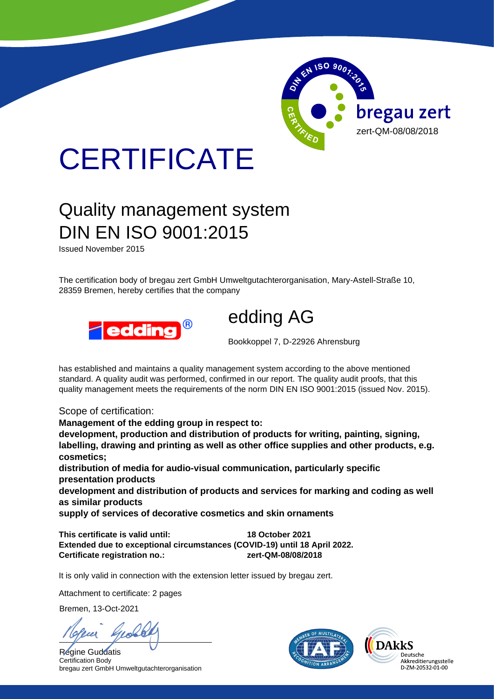

## **CERTIFICATE**

## Quality management system DIN EN ISO 9001:2015

Issued November 2015

The certification body of bregau zert GmbH Umweltgutachterorganisation, Mary-Astell-Straße 10, 28359 Bremen, hereby certifies that the company



edding AG

Bookkoppel 7, D-22926 Ahrensburg

has established and maintains a quality management system according to the above mentioned standard. A quality audit was performed, confirmed in our report. The quality audit proofs, that this quality management meets the requirements of the norm DIN EN ISO 9001:2015 (issued Nov. 2015).

Scope of certification:

**Management of the edding group in respect to:**

**development, production and distribution of products for writing, painting, signing, labelling, drawing and printing as well as other office supplies and other products, e.g. cosmetics;**

**distribution of media for audio-visual communication, particularly specific presentation products**

**development and distribution of products and services for marking and coding as well as similar products** 

**supply of services of decorative cosmetics and skin ornaments**

**This certificate is valid until: 18 October 2021 Extended due to exceptional circumstances (COVID-19) until 18 April 2022. Certificate registration no.: zert-QM-08/08/2018**

It is only valid in connection with the extension letter issued by bregau zert.

Attachment to certificate: 2 pages

Bremen, 13-Oct-2021

Regine Guddatis Certification Body bregau zert GmbH Umweltgutachterorganisation



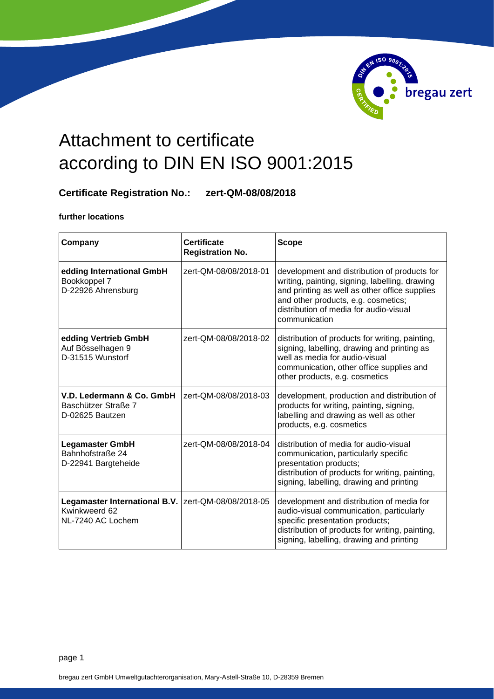

## Attachment to certificate according to DIN EN ISO 9001:2015

## **Certificate Registration No.: zert-QM-08/08/2018**

**further locations**

| Company                                                             | <b>Certificate</b><br><b>Registration No.</b> | <b>Scope</b>                                                                                                                                                                                                                                      |
|---------------------------------------------------------------------|-----------------------------------------------|---------------------------------------------------------------------------------------------------------------------------------------------------------------------------------------------------------------------------------------------------|
| edding International GmbH<br>Bookkoppel 7<br>D-22926 Ahrensburg     | zert-QM-08/08/2018-01                         | development and distribution of products for<br>writing, painting, signing, labelling, drawing<br>and printing as well as other office supplies<br>and other products, e.g. cosmetics;<br>distribution of media for audio-visual<br>communication |
| edding Vertrieb GmbH<br>Auf Bösselhagen 9<br>D-31515 Wunstorf       | zert-QM-08/08/2018-02                         | distribution of products for writing, painting,<br>signing, labelling, drawing and printing as<br>well as media for audio-visual<br>communication, other office supplies and<br>other products, e.g. cosmetics                                    |
| V.D. Ledermann & Co. GmbH<br>Baschützer Straße 7<br>D-02625 Bautzen | zert-QM-08/08/2018-03                         | development, production and distribution of<br>products for writing, painting, signing,<br>labelling and drawing as well as other<br>products, e.g. cosmetics                                                                                     |
| <b>Legamaster GmbH</b><br>Bahnhofstraße 24<br>D-22941 Bargteheide   | zert-QM-08/08/2018-04                         | distribution of media for audio-visual<br>communication, particularly specific<br>presentation products;<br>distribution of products for writing, painting,<br>signing, labelling, drawing and printing                                           |
| Legamaster International B.V.<br>Kwinkweerd 62<br>NL-7240 AC Lochem | zert-QM-08/08/2018-05                         | development and distribution of media for<br>audio-visual communication, particularly<br>specific presentation products;<br>distribution of products for writing, painting,<br>signing, labelling, drawing and printing                           |